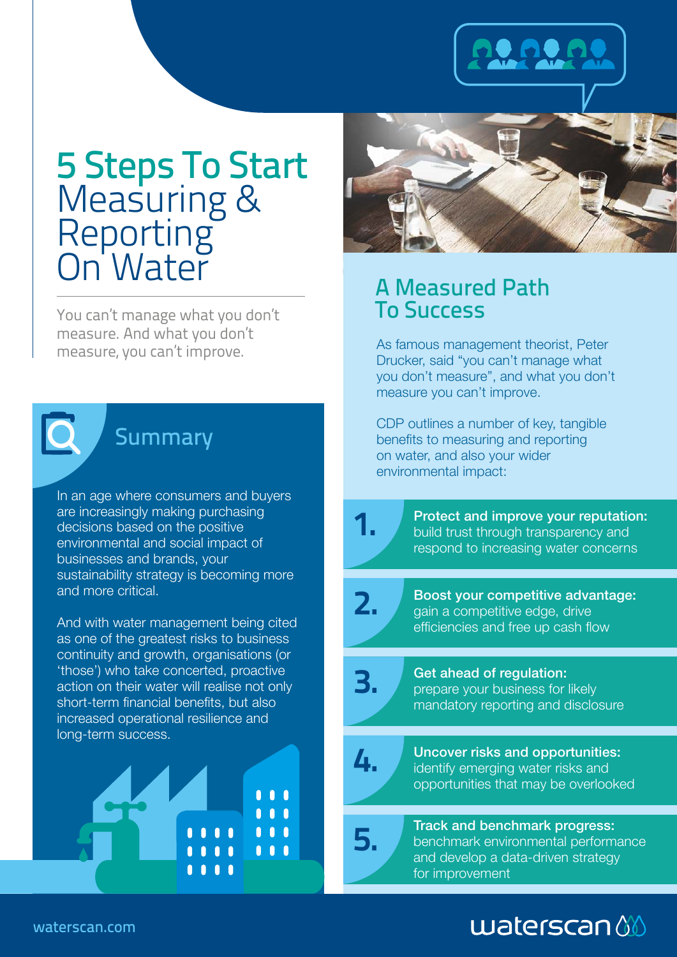# 5 Steps To Start Measuring & **Reporting** On Water

You can't manage what you don't measure. And what you don't



# **Summary**

In an age where consumers and buyers are increasingly making purchasing decisions based on the positive environmental and social impact of businesses and brands, your sustainability strategy is becoming more and more critical.

And with water management being cited as one of the greatest risks to business continuity and growth, organisations (or 'those') who take concerted, proactive action on their water will realise not only short-term financial benefits, but also increased operational resilience and long-term success.





### A Measured Path To Success

measure, you can't improve.<br>
As famous management theorist, Peter<br>
Resolution of the contract theorist, Peter Drucker, said "you can't manage what you don't measure", and what you don't measure you can't improve.

> CDP outlines a number of key, tangible benefits to measuring and reporting on water, and also your wider environmental impact:



Protect and improve your reputation: build trust through transparency and respond to increasing water concerns



Boost your competitive advantage: gain a competitive edge, drive efficiencies and free up cash flow



Get ahead of regulation: prepare your business for likely mandatory reporting and disclosure



Uncover risks and opportunities: identify emerging water risks and opportunities that may be overlooked



**5.** Track and benchmark progress:<br>benchmark environmental perform benchmark environmental performance and develop a data-driven strategy for improvement

# $$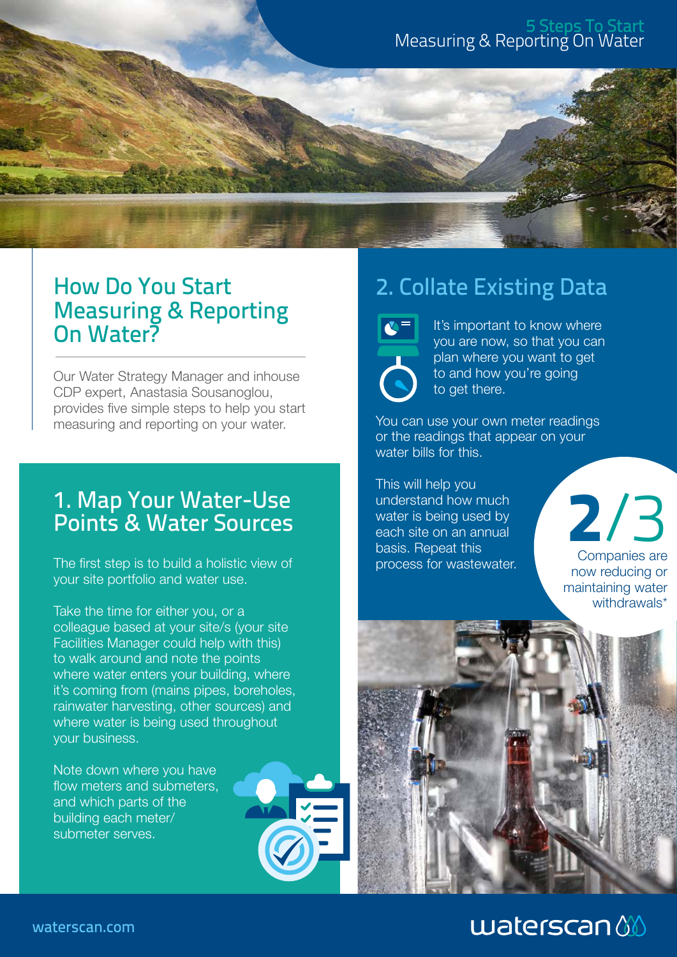#### 5 Steps To Start Measuring & Reporting On Water



### How Do You Start Measuring & Reporting On Water?

Our Water Strategy Manager and inhouse CDP expert, Anastasia Sousanoglou, provides five simple steps to help you start measuring and reporting on your water.

# **2**/3 1. Map Your Water-Use Points & Water Sources

The first step is to build a holistic view of your site portfolio and water use.

Take the time for either you, or a colleague based at your site/s (your site Facilities Manager could help with this) to walk around and note the points where water enters your building, where it's coming from (mains pipes, boreholes, rainwater harvesting, other sources) and where water is being used throughout your business.

Note down where you have flow meters and submeters, and which parts of the building each meter/ submeter serves.



# 2. Collate Existing Data

 It's important to know where you are now, so that you can plan where you want to get to and how you're going to get there.

You can use your own meter readings or the readings that appear on your water bills for this.

This will help you understand how much water is being used by each site on an annual basis. Repeat this process for wastewater.

Companies are now reducing or maintaining water

withdrawals\*

# $w$ aterscan $\left\langle \!\! \left\langle \!\! \right. \right\rangle$